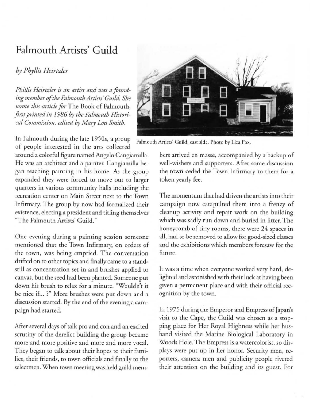## Falmouth Artists' **Guild**

## *by Phyllis Heirtzler*

*Phillis Heirtzler is an artist and was a found*ing member of the Falmouth Artists' Guild. She *wrote this article for* The Book of Falmouth, first printed in 1986 by the Falmouth Histori*cal Commission, edited* by *Mary LOll Smith.* 

In Falmouth during the late 1950s, a group Falmouth Artists' Guild, east side. Photo by Liza Fox. of people interested in the arts collected

around a colorful figure named Angelo Cangiamilla. He was an architect and a painter. Cangiamilla began teaching painting in his home. As the group expanded they were forced to move out to larger quarters in various community halls including the recreation center on Main Street next to the Town Infirmary. The group by now had formalized their existence, electing a president and titling themselves "The Falmouth Artists' Guild."

One evening during a painting session someone mentioned that the Town Infirmary, on orders of the town, was being emptied. The conversation drifted on to other topics and finally came to a standstill as concentration set in and brushes applied to canvas, but the seed had been planted. Someone put down his brush to relax for a minute. "Wouldn't it **be nice if .. ?" More brushes were put down and a**  discussion started. By the end of the evening a campaign had started.

After several days of talk pro and con and an excited scrutiny of the derelict building the group became **more and morc positive and more and morc vocal.**  They began to talk about their hopes to their families, their friends, to town officials and finally to the selectmen. When town meeting was held guild mem-



bers arrived en masse, accompanied by a backup of well-wishers and supporters. After some discussion the town ceded rhe Town Infirmary to them for a token yearly fee.

The momentum that had driven the artists into their campaign now catapulted them into a frenzy of cleanup activity and repair work on the building which was sadly run down and buried in litter. The **honeycomb of tiny rooms, there were 24 spaces in**  all, had to be removed to allow for good-sized classes and the exhibitions which members foresaw for the **future.** 

It was a time when everyone worked very hard, delighted and astonished with their luck at having been given a permanent place and with their official recognition by the town.

In 1975 during the Emperor and Empress of Japan's visit to the Cape, the Guild was chosen as a stopping place for Her Royal Highness while her husband visited the Marine Biological Laboratory in Woods Hole. The Empress is a watercolorist, so displays were put up in her honor. Security men, reporters, camera men and publicity people riveted their attention on rhe building and its guest. For